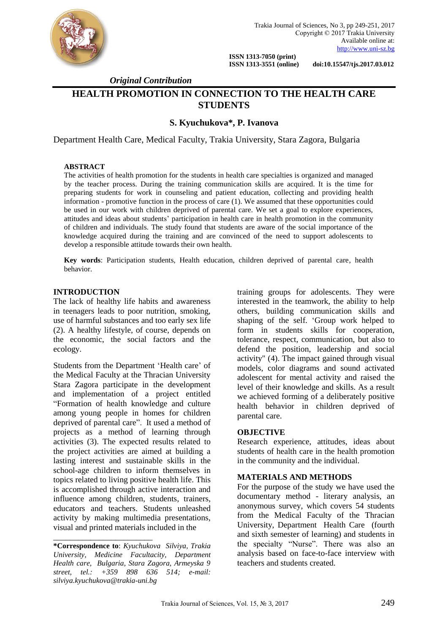

 **ISSN 1313-7050 (print)** 

 **ISSN 1313-3551 (online) doi:10.15547/tjs.2017.03.012**

 *Original Contribution*

# **HEALTH PROMOTION IN CONNECTION TO THE HEALTH CARE STUDENTS**

## **S. Kyuchukova\*, P. Ivanova**

Department Health Care, Medical Faculty, Trakia University, Stara Zagora, Bulgaria

#### **ABSTRACT**

The activities of health promotion for the students in health care specialties is organized and managed by the teacher process. During the training communication skills are acquired. It is the time for preparing students for work in counseling and patient education, collecting and providing health information - promotive function in the process of care (1). We assumed that these opportunities could be used in our work with children deprived of parental care. We set a goal to explore experiences, attitudes and ideas about students' participation in health care in health promotion in the community of children and individuals. The study found that students are aware of the social importance of the knowledge acquired during the training and are convinced of the need to support adolescents to develop a responsible attitude towards their own health.

**Key words**: Participation students, Health education, children deprived of parental care, health behavior.

## **INTRODUCTION**

The lack of healthy life habits and awareness in teenagers leads to poor nutrition, smoking, use of harmful substances and too early sex life (2). A healthy lifestyle, of course, depends on the economic, the social factors and the ecology.

Students from the Department 'Health care' of the Medical Faculty at the Thracian University Stara Zagora participate in the development and implementation of a project entitled "Formation of health knowledge and culture among young people in homes for children deprived of parental care". It used a method of projects as a method of learning through activities (3). The expected results related to the project activities are aimed at building a lasting interest and sustainable skills in the school-age children to inform themselves in topics related to living positive health life. This is accomplished through active interaction and influence among children, students, trainers, educators and teachers. Students unleashed activity by making multimedia presentations, visual and printed materials included in the

\_\_\_\_\_\_\_\_\_\_\_\_\_\_\_\_\_\_\_\_\_\_\_\_

training groups for adolescents. They were interested in the teamwork, the ability to help others, building communication skills and shaping of the self. 'Group work helped to form in students skills for cooperation, tolerance, respect, communication, but also to defend the position, leadership and social activity" (4). The impact gained through visual models, color diagrams and sound activated adolescent for mental activity and raised the level of their knowledge and skills. As a result we achieved forming of a deliberately positive health behavior in children deprived of parental care.

#### **OBJECTIVE**

Research experience, attitudes, ideas about students of health care in the health promotion in the community and the individual.

## **MATERIALS AND METHODS**

For the purpose of the study we have used the documentary method - literary analysis, an anonymous survey, which covers 54 students from the Medical Faculty of the Thracian University, Department Health Care (fourth and sixth semester of learning) and students in the specialty "Nurse". There was also an analysis based on face-to-face interview with teachers and students created.

**<sup>\*</sup>Correspondence to**: *Kyuchukova Silviya, Trakia University, Medicine Facultacity, Department Health care, Bulgaria, Stara Zagora, Armeyska 9 street, tel.: +359 898 636 514; e-mail: [silviya.kyuchukova@trakia-uni.bg](mailto:silviya.kyuchukova@trakia-uni.bg)*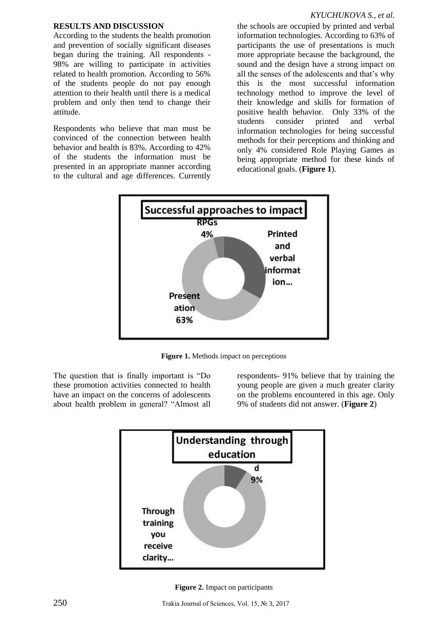## **RESULTS AND DISCUSSION**

According to the students the health promotion and prevention of socially significant diseases began during the training. All respondents - 98% are willing to participate in activities related to health promotion. According to 56% of the students people do not pay enough attention to their health until there is a medical problem and only then tend to change their attitude.

Respondents who believe that man must be convinced of the connection between health behavior and health is 83%. According to 42% of the students the information must be presented in an appropriate manner according to the cultural and age differences. Currently

### *KYUCHUKOVA S., et al.*

the schools are occupied by printed and verbal information technologies. According to 63% of participants the use of presentations is much more appropriate because the background, the sound and the design have a strong impact on all the senses of the adolescents and that's why this is the most successful information technology method to improve the level of their knowledge and skills for formation of positive health behavior. Only 33% of the students consider printed and verbal information technologies for being successful methods for their perceptions and thinking and only 4% considered Role Playing Games as being appropriate method for these kinds of educational goals. (**Figure 1**).



**Figure 1.** Methods impact on perceptions

The question that is finally important is "Do these promotion activities connected to health have an impact on the concerns of adolescents about health problem in general? "Almost all

respondents- 91% believe that by training the young people are given a much greater clarity on the problems encountered in this age. Only 9% of students did not answer. (**Figure 2**)



**Figure 2.** Impact on participants